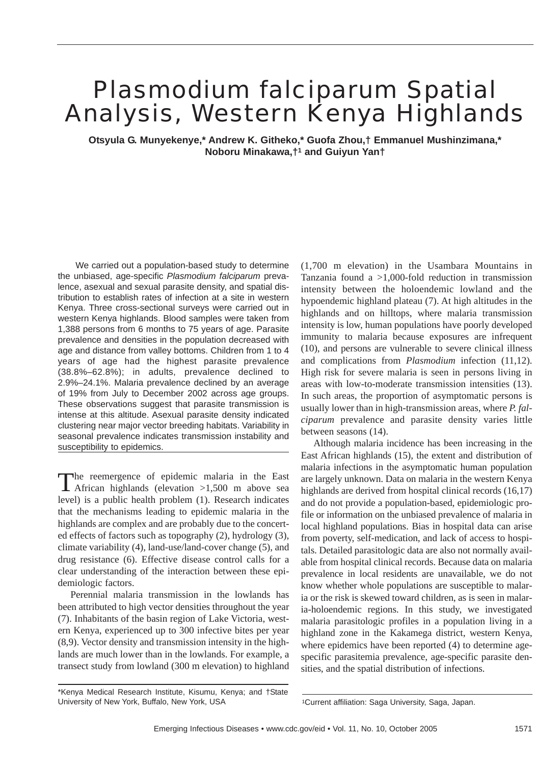# *Plasmodium falciparum* Spatial Analysis, Western Kenya Highlands

**Otsyula G. Munyekenye,\* Andrew K. Githeko,\* Guofa Zhou,† Emmanuel Mushinzimana,\* Noboru Minakawa,†1 and Guiyun Yan†**

We carried out a population-based study to determine the unbiased, age-specific *Plasmodium falciparum* prevalence, asexual and sexual parasite density, and spatial distribution to establish rates of infection at a site in western Kenya. Three cross-sectional surveys were carried out in western Kenya highlands. Blood samples were taken from 1,388 persons from 6 months to 75 years of age. Parasite prevalence and densities in the population decreased with age and distance from valley bottoms. Children from 1 to 4 years of age had the highest parasite prevalence (38.8%–62.8%); in adults, prevalence declined to 2.9%–24.1%. Malaria prevalence declined by an average of 19% from July to December 2002 across age groups. These observations suggest that parasite transmission is intense at this altitude. Asexual parasite density indicated clustering near major vector breeding habitats. Variability in seasonal prevalence indicates transmission instability and susceptibility to epidemics.

The reemergence of epidemic malaria in the East African highlands (elevation >1,500 m above sea level) is a public health problem (1). Research indicates that the mechanisms leading to epidemic malaria in the highlands are complex and are probably due to the concerted effects of factors such as topography (2), hydrology (3), climate variability (4), land-use/land-cover change (5), and drug resistance (6). Effective disease control calls for a clear understanding of the interaction between these epidemiologic factors.

Perennial malaria transmission in the lowlands has been attributed to high vector densities throughout the year (7). Inhabitants of the basin region of Lake Victoria, western Kenya, experienced up to 300 infective bites per year (8,9). Vector density and transmission intensity in the highlands are much lower than in the lowlands. For example, a transect study from lowland (300 m elevation) to highland (1,700 m elevation) in the Usambara Mountains in Tanzania found a  $>1,000$ -fold reduction in transmission intensity between the holoendemic lowland and the hypoendemic highland plateau (7). At high altitudes in the highlands and on hilltops, where malaria transmission intensity is low, human populations have poorly developed immunity to malaria because exposures are infrequent (10), and persons are vulnerable to severe clinical illness and complications from *Plasmodium* infection (11,12). High risk for severe malaria is seen in persons living in areas with low-to-moderate transmission intensities (13). In such areas, the proportion of asymptomatic persons is usually lower than in high-transmission areas, where *P. falciparum* prevalence and parasite density varies little between seasons (14).

Although malaria incidence has been increasing in the East African highlands (15), the extent and distribution of malaria infections in the asymptomatic human population are largely unknown. Data on malaria in the western Kenya highlands are derived from hospital clinical records  $(16,17)$ and do not provide a population-based, epidemiologic profile or information on the unbiased prevalence of malaria in local highland populations. Bias in hospital data can arise from poverty, self-medication, and lack of access to hospitals. Detailed parasitologic data are also not normally available from hospital clinical records. Because data on malaria prevalence in local residents are unavailable, we do not know whether whole populations are susceptible to malaria or the risk is skewed toward children, as is seen in malaria-holoendemic regions. In this study, we investigated malaria parasitologic profiles in a population living in a highland zone in the Kakamega district, western Kenya, where epidemics have been reported (4) to determine agespecific parasitemia prevalence, age-specific parasite densities, and the spatial distribution of infections.

<sup>\*</sup>Kenya Medical Research Institute, Kisumu, Kenya; and †State University of New York, Buffalo, New York, USA 1Current affiliation: Saga University, Saga, Japan.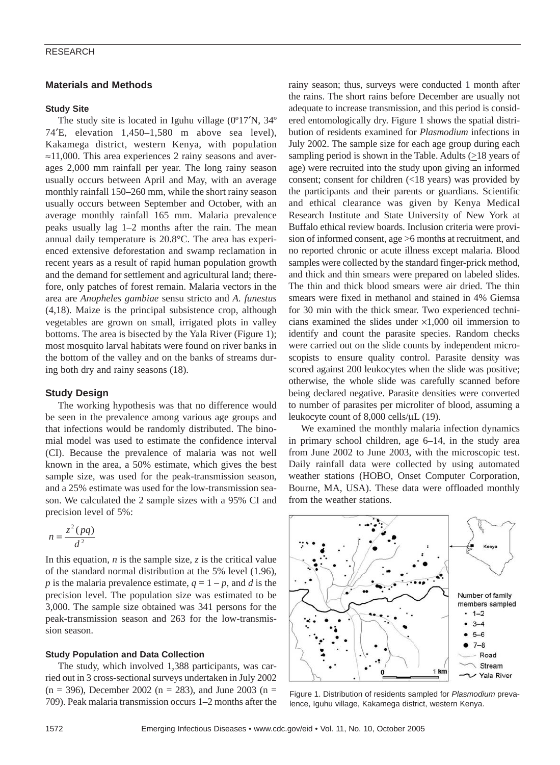### RESEARCH

# **Materials and Methods**

#### **Study Site**

The study site is located in Iguhu village (0°17'N, 34° 74′E, elevation 1,450–1,580 m above sea level), Kakamega district, western Kenya, with population  $\approx$ 11,000. This area experiences 2 rainy seasons and averages 2,000 mm rainfall per year. The long rainy season usually occurs between April and May, with an average monthly rainfall 150–260 mm, while the short rainy season usually occurs between September and October, with an average monthly rainfall 165 mm. Malaria prevalence peaks usually lag 1–2 months after the rain. The mean annual daily temperature is 20.8°C. The area has experienced extensive deforestation and swamp reclamation in recent years as a result of rapid human population growth and the demand for settlement and agricultural land; therefore, only patches of forest remain. Malaria vectors in the area are *Anopheles gambiae* sensu stricto and *A. funestus* (4,18). Maize is the principal subsistence crop, although vegetables are grown on small, irrigated plots in valley bottoms. The area is bisected by the Yala River (Figure 1); most mosquito larval habitats were found on river banks in the bottom of the valley and on the banks of streams during both dry and rainy seasons (18).

# **Study Design**

The working hypothesis was that no difference would be seen in the prevalence among various age groups and that infections would be randomly distributed. The binomial model was used to estimate the confidence interval (CI). Because the prevalence of malaria was not well known in the area, a 50% estimate, which gives the best sample size, was used for the peak-transmission season, and a 25% estimate was used for the low-transmission season. We calculated the 2 sample sizes with a 95% CI and precision level of 5%:

$$
n = \frac{z^2 (pq)}{d^2}
$$

In this equation,  $n$  is the sample size,  $z$  is the critical value of the standard normal distribution at the 5% level (1.96), *p* is the malaria prevalence estimate,  $q = 1 - p$ , and *d* is the precision level. The population size was estimated to be 3,000. The sample size obtained was 341 persons for the peak-transmission season and 263 for the low-transmission season.

#### **Study Population and Data Collection**

The study, which involved 1,388 participants, was carried out in 3 cross-sectional surveys undertaken in July 2002  $(n = 396)$ , December 2002  $(n = 283)$ , and June 2003  $(n = 100)$ 709). Peak malaria transmission occurs 1–2 months after the rainy season; thus, surveys were conducted 1 month after the rains. The short rains before December are usually not adequate to increase transmission, and this period is considered entomologically dry. Figure 1 shows the spatial distribution of residents examined for *Plasmodium* infections in July 2002. The sample size for each age group during each sampling period is shown in the Table. Adults  $(\geq 18$  years of age) were recruited into the study upon giving an informed consent; consent for children (<18 years) was provided by the participants and their parents or guardians. Scientific and ethical clearance was given by Kenya Medical Research Institute and State University of New York at Buffalo ethical review boards. Inclusion criteria were provision of informed consent, age >6 months at recruitment, and no reported chronic or acute illness except malaria. Blood samples were collected by the standard finger-prick method, and thick and thin smears were prepared on labeled slides. The thin and thick blood smears were air dried. The thin smears were fixed in methanol and stained in 4% Giemsa for 30 min with the thick smear. Two experienced technicians examined the slides under ×1,000 oil immersion to identify and count the parasite species. Random checks were carried out on the slide counts by independent microscopists to ensure quality control. Parasite density was scored against 200 leukocytes when the slide was positive; otherwise, the whole slide was carefully scanned before being declared negative. Parasite densities were converted to number of parasites per microliter of blood, assuming a leukocyte count of 8,000 cells/µL (19).

We examined the monthly malaria infection dynamics in primary school children, age 6–14, in the study area from June 2002 to June 2003, with the microscopic test. Daily rainfall data were collected by using automated weather stations (HOBO, Onset Computer Corporation, Bourne, MA, USA). These data were offloaded monthly from the weather stations.



Figure 1. Distribution of residents sampled for *Plasmodium* prevalence, Iguhu village, Kakamega district, western Kenya.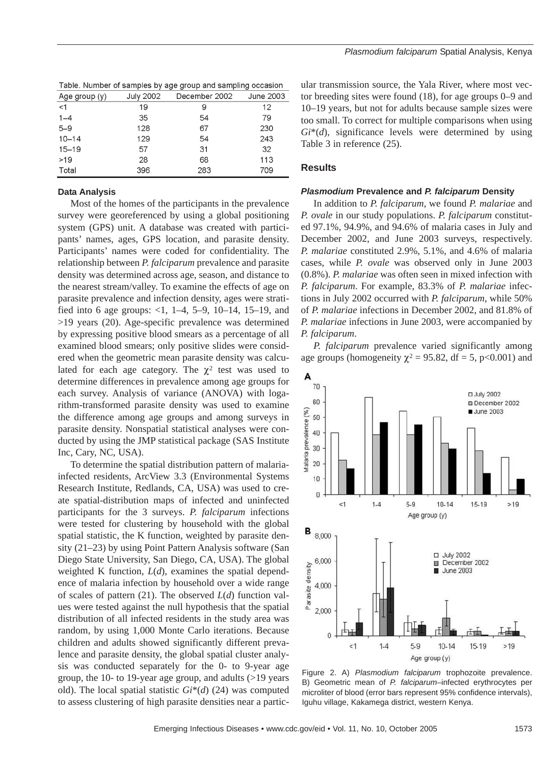| Table. Number of samples by age group and sampling occasion |           |               |           |
|-------------------------------------------------------------|-----------|---------------|-----------|
| Age group $(y)$                                             | July 2002 | December 2002 | June 2003 |
| $<$ 1                                                       | 19        | 9             | 12        |
| $1 - 4$                                                     | 35        | 54            | 79        |
| $5 - 9$                                                     | 128       | 67            | 230       |
| $10 - 14$                                                   | 129       | 54            | 243       |
| $15 - 19$                                                   | 57        | 31            | 32        |
| $>19$                                                       | 28        | 68            | 113       |
| Total                                                       | 396       | 283           | 709       |

# **Data Analysis**

 $\pm$  and the contract of the second contract of the second second second second second second second second second second second second second second second second second second second second second second second second s

Most of the homes of the participants in the prevalence survey were georeferenced by using a global positioning system (GPS) unit. A database was created with participants' names, ages, GPS location, and parasite density. Participants' names were coded for confidentiality. The relationship between *P. falciparum* prevalence and parasite density was determined across age, season, and distance to the nearest stream/valley. To examine the effects of age on parasite prevalence and infection density, ages were stratified into 6 age groups:  $<1$ , 1–4, 5–9, 10–14, 15–19, and >19 years (20). Age-specific prevalence was determined by expressing positive blood smears as a percentage of all examined blood smears; only positive slides were considered when the geometric mean parasite density was calculated for each age category. The  $\chi^2$  test was used to determine differences in prevalence among age groups for each survey. Analysis of variance (ANOVA) with logarithm-transformed parasite density was used to examine the difference among age groups and among surveys in parasite density. Nonspatial statistical analyses were conducted by using the JMP statistical package (SAS Institute Inc, Cary, NC, USA).

To determine the spatial distribution pattern of malariainfected residents, ArcView 3.3 (Environmental Systems Research Institute, Redlands, CA, USA) was used to create spatial-distribution maps of infected and uninfected participants for the 3 surveys. *P. falciparum* infections were tested for clustering by household with the global spatial statistic, the K function, weighted by parasite density (21–23) by using Point Pattern Analysis software (San Diego State University, San Diego, CA, USA). The global weighted K function, *L*(*d*), examines the spatial dependence of malaria infection by household over a wide range of scales of pattern (21). The observed *L*(*d*) function values were tested against the null hypothesis that the spatial distribution of all infected residents in the study area was random, by using 1,000 Monte Carlo iterations. Because children and adults showed significantly different prevalence and parasite density, the global spatial cluster analysis was conducted separately for the 0- to 9-year age group, the 10- to 19-year age group, and adults (>19 years old). The local spatial statistic *Gi*\*(*d*) (24) was computed to assess clustering of high parasite densities near a particular transmission source, the Yala River, where most vector breeding sites were found (18), for age groups 0–9 and 10–19 years, but not for adults because sample sizes were too small. To correct for multiple comparisons when using *Gi*\*(*d*), significance levels were determined by using Table 3 in reference (25).

#### **Results**

#### *Plasmodium* **Prevalence and** *P. falciparum* **Density**

In addition to *P. falciparum*, we found *P. malariae* and *P. ovale* in our study populations. *P. falciparum* constituted 97.1%, 94.9%, and 94.6% of malaria cases in July and December 2002, and June 2003 surveys, respectively. *P. malariae* constituted 2.9%, 5.1%, and 4.6% of malaria cases, while *P. ovale* was observed only in June 2003 (0.8%). *P. malariae* was often seen in mixed infection with *P. falciparum*. For example, 83.3% of *P. malariae* infections in July 2002 occurred with *P. falciparum*, while 50% of *P. malariae* infections in December 2002, and 81.8% of *P. malariae* infections in June 2003, were accompanied by *P. falciparum*.

*P. falciparum* prevalence varied significantly among age groups (homogeneity  $\chi^2 = 95.82$ , df = 5, p<0.001) and



Figure 2. A) *Plasmodium falciparum* trophozoite prevalence. B) Geometric mean of *P. falciparum*–infected erythrocytes per microliter of blood (error bars represent 95% confidence intervals), Iguhu village, Kakamega district, western Kenya.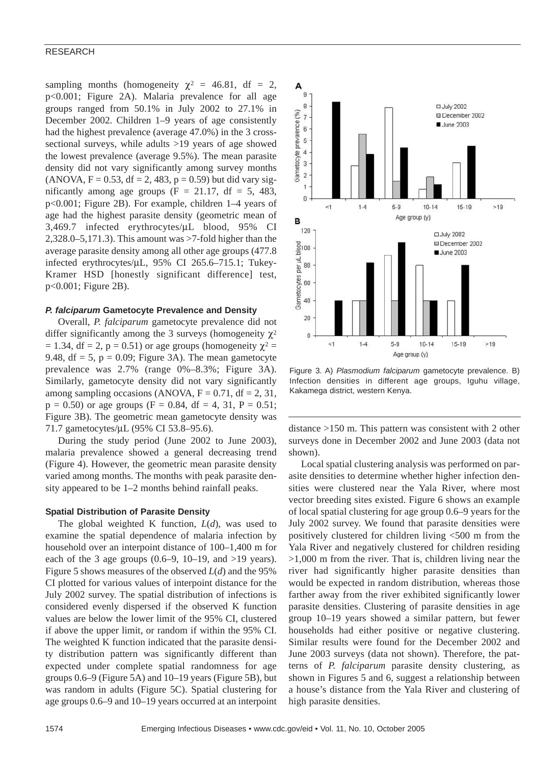#### RESEARCH

sampling months (homogeneity  $\chi^2 = 46.81$ , df = 2, p<0.001; Figure 2A). Malaria prevalence for all age groups ranged from 50.1% in July 2002 to 27.1% in December 2002. Children 1–9 years of age consistently had the highest prevalence (average 47.0%) in the 3 crosssectional surveys, while adults >19 years of age showed the lowest prevalence (average 9.5%). The mean parasite density did not vary significantly among survey months  $(ANOVA, F = 0.53, df = 2, 483, p = 0.59)$  but did vary significantly among age groups ( $F = 21.17$ , df = 5, 483, p<0.001; Figure 2B). For example, children 1–4 years of age had the highest parasite density (geometric mean of 3,469.7 infected erythrocytes/µL blood, 95% CI 2,328.0–5,171.3). This amount was >7-fold higher than the average parasite density among all other age groups (477.8 infected erythrocytes/µL, 95% CI 265.6–715.1; Tukey-Kramer HSD [honestly significant difference] test, p<0.001; Figure 2B).

#### *P. falciparum* **Gametocyte Prevalence and Density**

Overall, *P. falciparum* gametocyte prevalence did not differ significantly among the 3 surveys (homogeneity  $\chi^2$ = 1.34, df = 2, p = 0.51) or age groups (homogeneity  $\chi^2$  = 9.48,  $df = 5$ ,  $p = 0.09$ ; Figure 3A). The mean gametocyte prevalence was 2.7% (range 0%–8.3%; Figure 3A). Similarly, gametocyte density did not vary significantly among sampling occasions (ANOVA,  $F = 0.71$ , df = 2, 31,  $p = 0.50$ ) or age groups (F = 0.84, df = 4, 31, P = 0.51; Figure 3B). The geometric mean gametocyte density was 71.7 gametocytes/µL (95% CI 53.8–95.6).

During the study period (June 2002 to June 2003), malaria prevalence showed a general decreasing trend (Figure 4). However, the geometric mean parasite density varied among months. The months with peak parasite density appeared to be 1–2 months behind rainfall peaks.

#### **Spatial Distribution of Parasite Density**

The global weighted K function, *L*(*d*), was used to examine the spatial dependence of malaria infection by household over an interpoint distance of 100–1,400 m for each of the 3 age groups  $(0.6-9, 10-19, \text{ and } >19 \text{ years}).$ Figure 5 shows measures of the observed *L*(*d*) and the 95% CI plotted for various values of interpoint distance for the July 2002 survey. The spatial distribution of infections is considered evenly dispersed if the observed K function values are below the lower limit of the 95% CI, clustered if above the upper limit, or random if within the 95% CI. The weighted K function indicated that the parasite density distribution pattern was significantly different than expected under complete spatial randomness for age groups 0.6–9 (Figure 5A) and 10–19 years (Figure 5B), but was random in adults (Figure 5C). Spatial clustering for age groups 0.6–9 and 10–19 years occurred at an interpoint



Figure 3. A) *Plasmodium falciparum* gametocyte prevalence. B) Infection densities in different age groups, Iguhu village, Kakamega district, western Kenya.

distance >150 m. This pattern was consistent with 2 other surveys done in December 2002 and June 2003 (data not shown).

Local spatial clustering analysis was performed on parasite densities to determine whether higher infection densities were clustered near the Yala River, where most vector breeding sites existed. Figure 6 shows an example of local spatial clustering for age group 0.6–9 years for the July 2002 survey. We found that parasite densities were positively clustered for children living <500 m from the Yala River and negatively clustered for children residing >1,000 m from the river. That is, children living near the river had significantly higher parasite densities than would be expected in random distribution, whereas those farther away from the river exhibited significantly lower parasite densities. Clustering of parasite densities in age group 10–19 years showed a similar pattern, but fewer households had either positive or negative clustering. Similar results were found for the December 2002 and June 2003 surveys (data not shown). Therefore, the patterns of *P. falciparum* parasite density clustering, as shown in Figures 5 and 6, suggest a relationship between a house's distance from the Yala River and clustering of high parasite densities.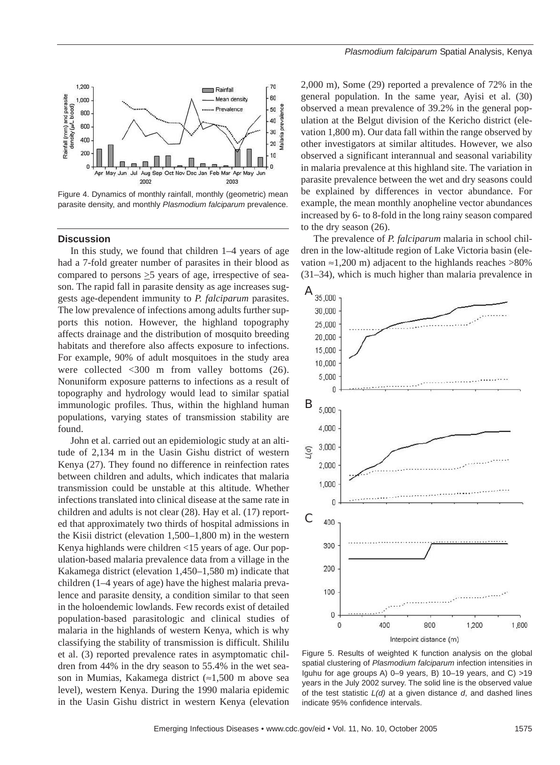

Figure 4. Dynamics of monthly rainfall, monthly (geometric) mean parasite density, and monthly *Plasmodium falciparum* prevalence.

#### **Discussion**

In this study, we found that children 1–4 years of age had a 7-fold greater number of parasites in their blood as compared to persons >5 years of age, irrespective of season. The rapid fall in parasite density as age increases suggests age-dependent immunity to *P. falciparum* parasites. The low prevalence of infections among adults further supports this notion. However, the highland topography affects drainage and the distribution of mosquito breeding habitats and therefore also affects exposure to infections. For example, 90% of adult mosquitoes in the study area were collected <300 m from valley bottoms (26). Nonuniform exposure patterns to infections as a result of topography and hydrology would lead to similar spatial immunologic profiles. Thus, within the highland human populations, varying states of transmission stability are found.

John et al. carried out an epidemiologic study at an altitude of 2,134 m in the Uasin Gishu district of western Kenya (27). They found no difference in reinfection rates between children and adults, which indicates that malaria transmission could be unstable at this altitude. Whether infections translated into clinical disease at the same rate in children and adults is not clear (28). Hay et al. (17) reported that approximately two thirds of hospital admissions in the Kisii district (elevation 1,500–1,800 m) in the western Kenya highlands were children <15 years of age. Our population-based malaria prevalence data from a village in the Kakamega district (elevation 1,450–1,580 m) indicate that children (1–4 years of age) have the highest malaria prevalence and parasite density, a condition similar to that seen in the holoendemic lowlands. Few records exist of detailed population-based parasitologic and clinical studies of malaria in the highlands of western Kenya, which is why classifying the stability of transmission is difficult. Shililu et al. (3) reported prevalence rates in asymptomatic children from 44% in the dry season to 55.4% in the wet season in Mumias, Kakamega district (≈1,500 m above sea level), western Kenya. During the 1990 malaria epidemic in the Uasin Gishu district in western Kenya (elevation

2,000 m), Some (29) reported a prevalence of 72% in the general population. In the same year, Ayisi et al. (30) observed a mean prevalence of 39.2% in the general population at the Belgut division of the Kericho district (elevation 1,800 m). Our data fall within the range observed by other investigators at similar altitudes. However, we also observed a significant interannual and seasonal variability in malaria prevalence at this highland site. The variation in parasite prevalence between the wet and dry seasons could be explained by differences in vector abundance. For example, the mean monthly anopheline vector abundances increased by 6- to 8-fold in the long rainy season compared to the dry season (26).

The prevalence of *P. falciparum* malaria in school children in the low-altitude region of Lake Victoria basin (elevation  $\approx$ 1,200 m) adjacent to the highlands reaches >80% (31–34), which is much higher than malaria prevalence in



Figure 5. Results of weighted K function analysis on the global spatial clustering of *Plasmodium falciparum* infection intensities in Iguhu for age groups A) 0–9 years, B) 10–19 years, and C) >19 years in the July 2002 survey. The solid line is the observed value of the test statistic *L(d)* at a given distance *d*, and dashed lines indicate 95% confidence intervals.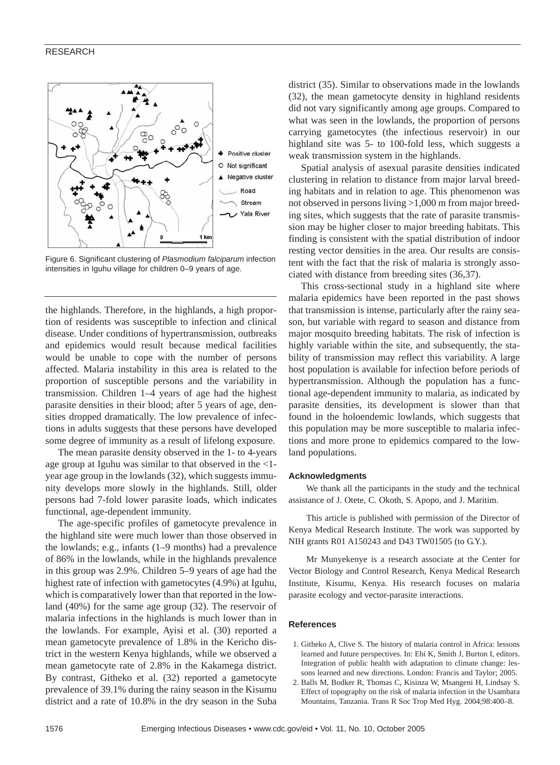#### RESEARCH



Figure 6. Significant clustering of *Plasmodium falciparum* infection intensities in Iguhu village for children 0–9 years of age.

the highlands. Therefore, in the highlands, a high proportion of residents was susceptible to infection and clinical disease. Under conditions of hypertransmission, outbreaks and epidemics would result because medical facilities would be unable to cope with the number of persons affected. Malaria instability in this area is related to the proportion of susceptible persons and the variability in transmission. Children 1–4 years of age had the highest parasite densities in their blood; after 5 years of age, densities dropped dramatically. The low prevalence of infections in adults suggests that these persons have developed some degree of immunity as a result of lifelong exposure.

The mean parasite density observed in the 1- to 4-years age group at Iguhu was similar to that observed in the <1 year age group in the lowlands (32), which suggests immunity develops more slowly in the highlands. Still, older persons had 7-fold lower parasite loads, which indicates functional, age-dependent immunity.

The age-specific profiles of gametocyte prevalence in the highland site were much lower than those observed in the lowlands; e.g., infants (1–9 months) had a prevalence of 86% in the lowlands, while in the highlands prevalence in this group was 2.9%. Children 5–9 years of age had the highest rate of infection with gametocytes (4.9%) at Iguhu, which is comparatively lower than that reported in the lowland (40%) for the same age group (32). The reservoir of malaria infections in the highlands is much lower than in the lowlands. For example, Ayisi et al. (30) reported a mean gametocyte prevalence of 1.8% in the Kericho district in the western Kenya highlands, while we observed a mean gametocyte rate of 2.8% in the Kakamega district. By contrast, Githeko et al. (32) reported a gametocyte prevalence of 39.1% during the rainy season in the Kisumu district and a rate of 10.8% in the dry season in the Suba

district (35). Similar to observations made in the lowlands (32), the mean gametocyte density in highland residents did not vary significantly among age groups. Compared to what was seen in the lowlands, the proportion of persons carrying gametocytes (the infectious reservoir) in our highland site was 5- to 100-fold less, which suggests a weak transmission system in the highlands.

Spatial analysis of asexual parasite densities indicated clustering in relation to distance from major larval breeding habitats and in relation to age. This phenomenon was not observed in persons living >1,000 m from major breeding sites, which suggests that the rate of parasite transmission may be higher closer to major breeding habitats. This finding is consistent with the spatial distribution of indoor resting vector densities in the area. Our results are consistent with the fact that the risk of malaria is strongly associated with distance from breeding sites (36,37).

This cross-sectional study in a highland site where malaria epidemics have been reported in the past shows that transmission is intense, particularly after the rainy season, but variable with regard to season and distance from major mosquito breeding habitats. The risk of infection is highly variable within the site, and subsequently, the stability of transmission may reflect this variability. A large host population is available for infection before periods of hypertransmission. Although the population has a functional age-dependent immunity to malaria, as indicated by parasite densities, its development is slower than that found in the holoendemic lowlands, which suggests that this population may be more susceptible to malaria infections and more prone to epidemics compared to the lowland populations.

#### **Acknowledgments**

We thank all the participants in the study and the technical assistance of J. Otete, C. Okoth, S. Apopo, and J. Maritim.

This article is published with permission of the Director of Kenya Medical Research Institute. The work was supported by NIH grants R01 A150243 and D43 TW01505 (to G.Y.).

Mr Munyekenye is a research associate at the Center for Vector Biology and Control Research, Kenya Medical Research Institute, Kisumu, Kenya. His research focuses on malaria parasite ecology and vector-parasite interactions.

#### **References**

- 1. Githeko A, Clive S. The history of malaria control in Africa: lessons learned and future perspectives. In: Ebi K, Smith J, Burton I, editors. Integration of public health with adaptation to climate change: lessons learned and new directions. London: Francis and Taylor; 2005.
- 2. Balls M, Bodker R, Thomas C, Kisinza W, Msangeni H, Lindsay S. Effect of topography on the risk of malaria infection in the Usambara Mountains, Tanzania. Trans R Soc Trop Med Hyg. 2004;98:400–8.